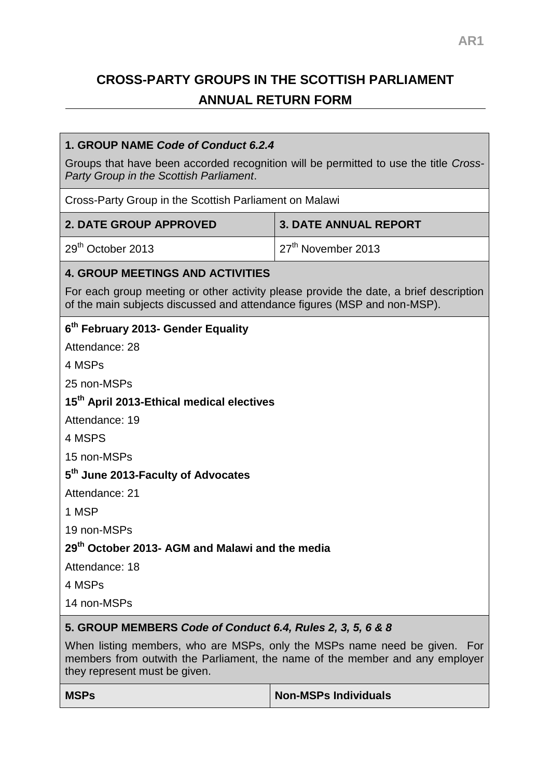# **CROSS-PARTY GROUPS IN THE SCOTTISH PARLIAMENT ANNUAL RETURN FORM**

## **1. GROUP NAME** *Code of Conduct 6.2.4*

Groups that have been accorded recognition will be permitted to use the title *Cross-Party Group in the Scottish Parliament*.

Cross-Party Group in the Scottish Parliament on Malawi

| <b>2. DATE GROUP APPROVED</b> | 3. DATE ANNUAL REPORT           |
|-------------------------------|---------------------------------|
| 29 <sup>th</sup> October 2013 | 127 <sup>th</sup> November 2013 |

## **4. GROUP MEETINGS AND ACTIVITIES**

For each group meeting or other activity please provide the date, a brief description of the main subjects discussed and attendance figures (MSP and non-MSP).

# **6 th February 2013- Gender Equality**

Attendance: 28

4 MSPs

25 non-MSPs

# **15th April 2013-Ethical medical electives**

Attendance: 19

4 MSPS

15 non-MSPs

# **5 th June 2013-Faculty of Advocates**

Attendance: 21

1 MSP

19 non-MSPs

# **29th October 2013- AGM and Malawi and the media**

Attendance: 18

4 MSPs

14 non-MSPs

# **5. GROUP MEMBERS** *Code of Conduct 6.4, Rules 2, 3, 5, 6 & 8*

When listing members, who are MSPs, only the MSPs name need be given. For members from outwith the Parliament, the name of the member and any employer they represent must be given.

| <b>MSPs</b> | Non-MSPs Individuals |
|-------------|----------------------|
|             |                      |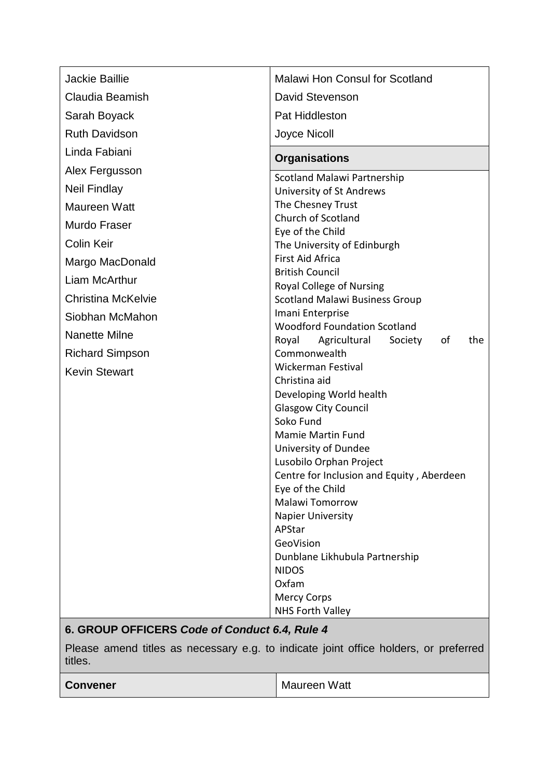| <b>Jackie Baillie</b>                                                                           | <b>Malawi Hon Consul for Scotland</b>                     |
|-------------------------------------------------------------------------------------------------|-----------------------------------------------------------|
| Claudia Beamish                                                                                 | David Stevenson                                           |
| Sarah Boyack                                                                                    | <b>Pat Hiddleston</b>                                     |
| <b>Ruth Davidson</b>                                                                            | Joyce Nicoll                                              |
| Linda Fabiani                                                                                   | <b>Organisations</b>                                      |
| Alex Fergusson                                                                                  | <b>Scotland Malawi Partnership</b>                        |
| <b>Neil Findlay</b>                                                                             | University of St Andrews                                  |
| <b>Maureen Watt</b>                                                                             | The Chesney Trust                                         |
| Murdo Fraser                                                                                    | Church of Scotland                                        |
| <b>Colin Keir</b>                                                                               | Eye of the Child<br>The University of Edinburgh           |
| Margo MacDonald                                                                                 | <b>First Aid Africa</b>                                   |
| Liam McArthur                                                                                   | <b>British Council</b>                                    |
|                                                                                                 | Royal College of Nursing                                  |
| <b>Christina McKelvie</b>                                                                       | <b>Scotland Malawi Business Group</b><br>Imani Enterprise |
| Siobhan McMahon                                                                                 | <b>Woodford Foundation Scotland</b>                       |
| Nanette Milne                                                                                   | Royal<br>Agricultural<br>Society<br>οf<br>the             |
| <b>Richard Simpson</b>                                                                          | Commonwealth                                              |
| <b>Kevin Stewart</b>                                                                            | Wickerman Festival<br>Christina aid                       |
|                                                                                                 | Developing World health                                   |
|                                                                                                 | <b>Glasgow City Council</b>                               |
|                                                                                                 | Soko Fund                                                 |
|                                                                                                 | <b>Mamie Martin Fund</b><br>University of Dundee          |
|                                                                                                 | Lusobilo Orphan Project                                   |
|                                                                                                 | Centre for Inclusion and Equity, Aberdeen                 |
|                                                                                                 | Eye of the Child                                          |
|                                                                                                 | <b>Malawi Tomorrow</b><br><b>Napier University</b>        |
|                                                                                                 | APStar                                                    |
|                                                                                                 | GeoVision                                                 |
|                                                                                                 | Dunblane Likhubula Partnership                            |
|                                                                                                 | <b>NIDOS</b><br>Oxfam                                     |
|                                                                                                 | <b>Mercy Corps</b>                                        |
|                                                                                                 | NHS Forth Valley                                          |
| 6. GROUP OFFICERS Code of Conduct 6.4, Rule 4                                                   |                                                           |
| Please amend titles as necessary e.g. to indicate joint office holders, or preferred<br>titles. |                                                           |
| <b>Convener</b>                                                                                 | <b>Maureen Watt</b>                                       |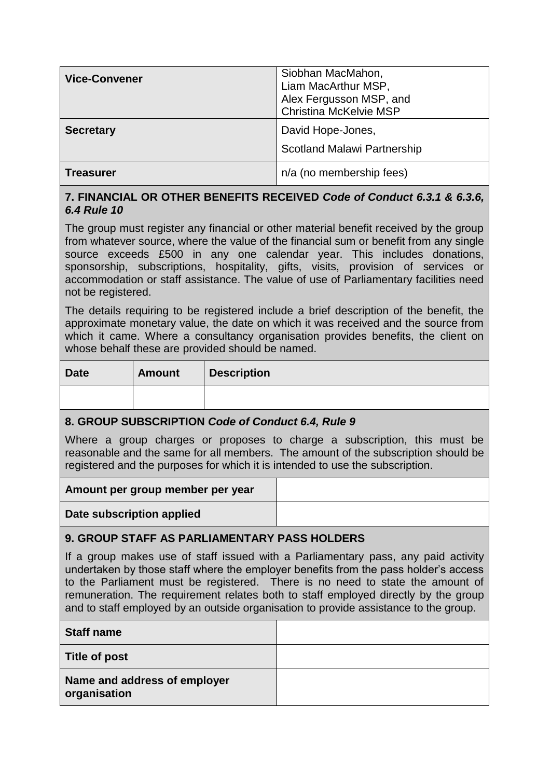| <b>Vice-Convener</b> | Siobhan MacMahon,<br>Liam MacArthur MSP,<br>Alex Fergusson MSP, and<br>Christina McKelvie MSP |
|----------------------|-----------------------------------------------------------------------------------------------|
| <b>Secretary</b>     | David Hope-Jones,<br><b>Scotland Malawi Partnership</b>                                       |
| <b>Treasurer</b>     | n/a (no membership fees)                                                                      |

# **7. FINANCIAL OR OTHER BENEFITS RECEIVED** *Code of Conduct 6.3.1 & 6.3.6, 6.4 Rule 10*

The group must register any financial or other material benefit received by the group from whatever source, where the value of the financial sum or benefit from any single source exceeds £500 in any one calendar year. This includes donations, sponsorship, subscriptions, hospitality, gifts, visits, provision of services or accommodation or staff assistance. The value of use of Parliamentary facilities need not be registered.

The details requiring to be registered include a brief description of the benefit, the approximate monetary value, the date on which it was received and the source from which it came. Where a consultancy organisation provides benefits, the client on whose behalf these are provided should be named.

| <b>Date</b> | Amount | <b>Description</b> |
|-------------|--------|--------------------|
|             |        |                    |

#### **8. GROUP SUBSCRIPTION** *Code of Conduct 6.4, Rule 9*

Where a group charges or proposes to charge a subscription, this must be reasonable and the same for all members. The amount of the subscription should be registered and the purposes for which it is intended to use the subscription.

| Amount per group member per year |  |
|----------------------------------|--|
| Date subscription applied        |  |

# **9. GROUP STAFF AS PARLIAMENTARY PASS HOLDERS**

If a group makes use of staff issued with a Parliamentary pass, any paid activity undertaken by those staff where the employer benefits from the pass holder's access to the Parliament must be registered. There is no need to state the amount of remuneration. The requirement relates both to staff employed directly by the group and to staff employed by an outside organisation to provide assistance to the group.

| <b>Staff name</b>                            |  |
|----------------------------------------------|--|
| <b>Title of post</b>                         |  |
| Name and address of employer<br>organisation |  |